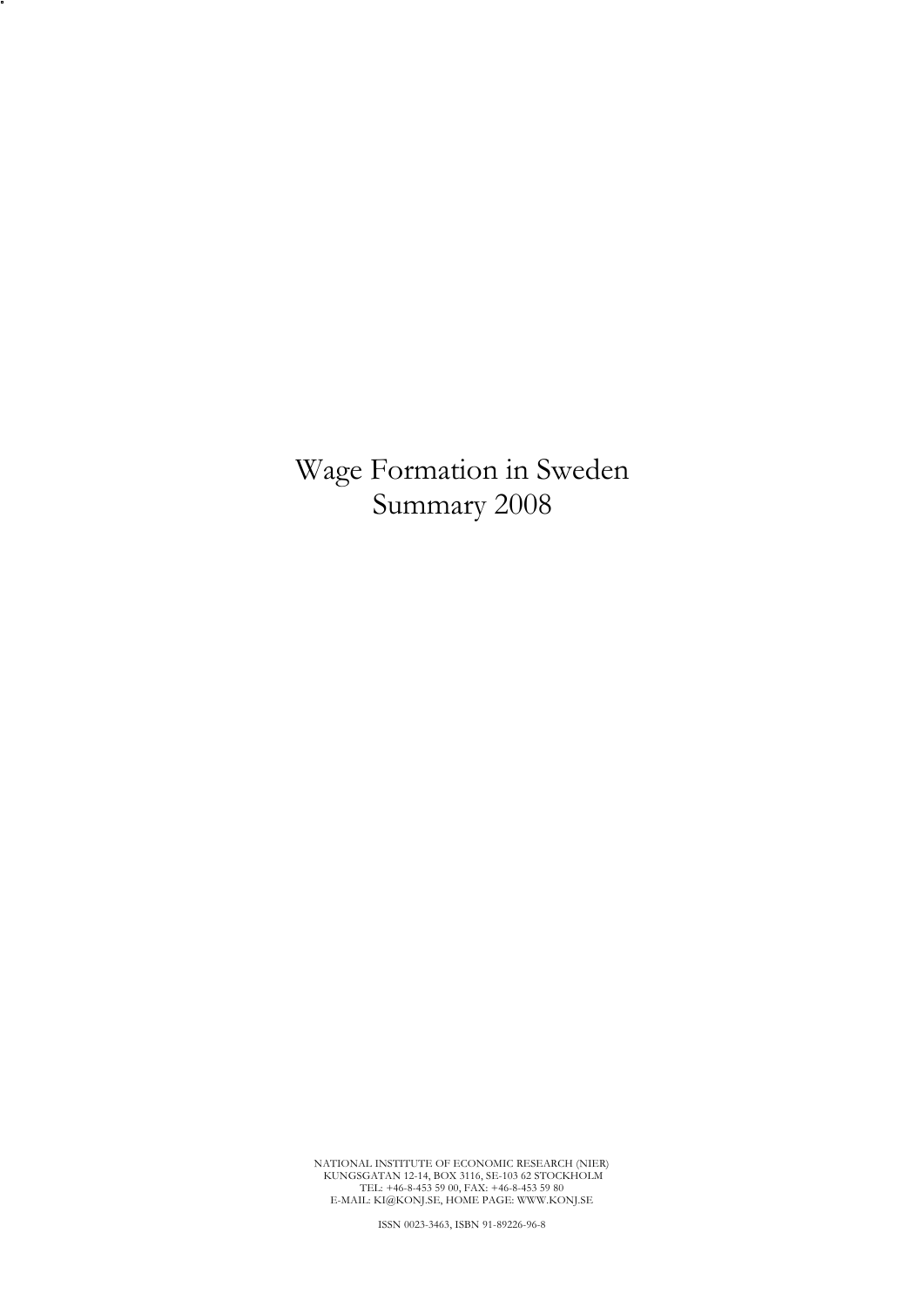Wage Formation in Sweden Summary 2008

NATIONAL INSTITUTE OF ECONOMIC RESEARCH (NIER)<br>KUNGSGATAN 12-14, BOX 3116, SE-103 62 STOCKHOLM<br>TEL: +46-8-453 59 00, FAX: +46-8-453 59 80<br>E-MAIL: KI@KONJ.SE, HOME PAGE: WWW.KONJ.SE

ISSN 0023-3463, ISBN 91-89226-96-8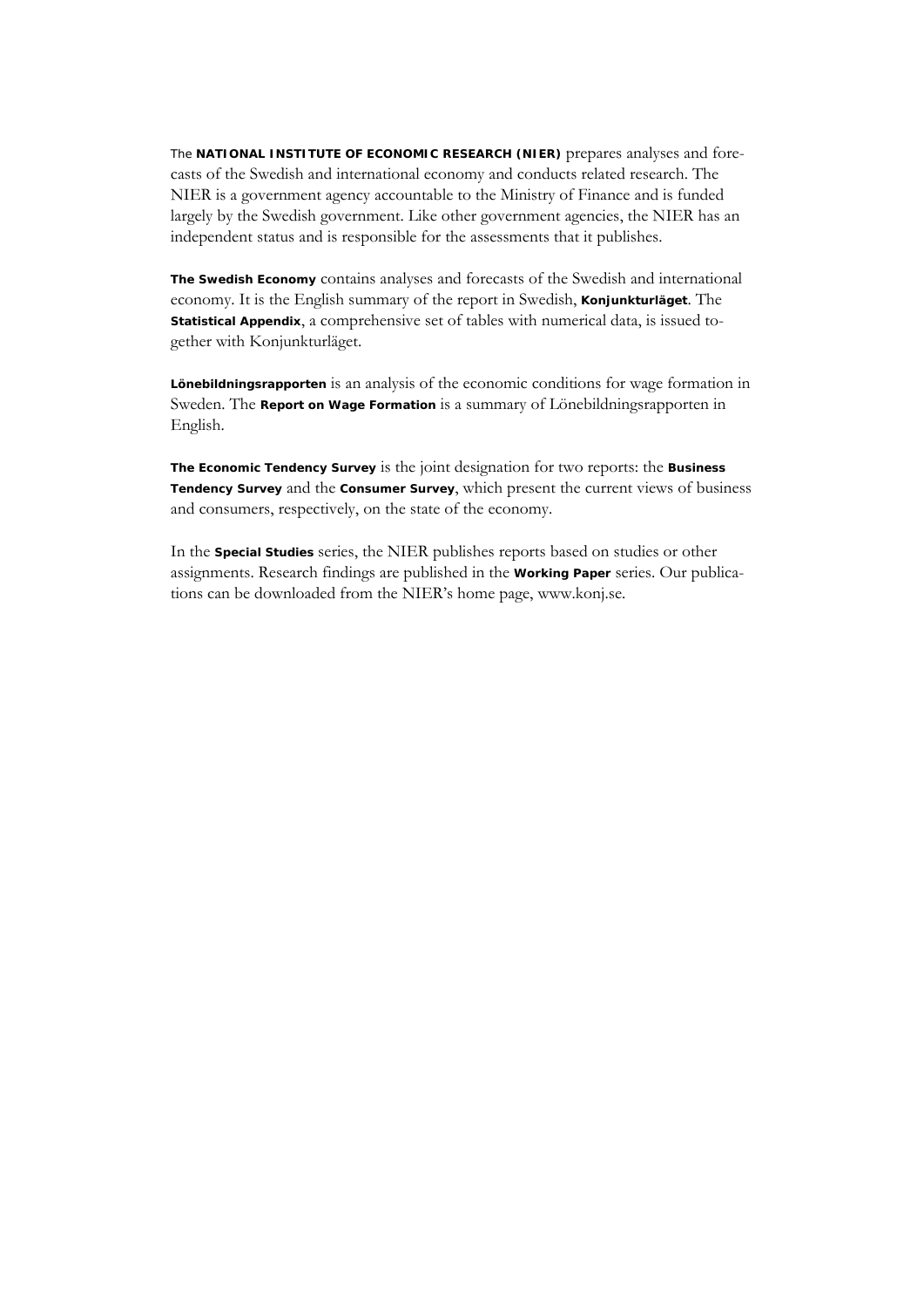The **NATIONAL INSTITUTE OF ECONOMIC RESEARCH (NIER)** prepares analyses and forecasts of the Swedish and international economy and conducts related research. The NIER is a government agency accountable to the Ministry of Finance and is funded largely by the Swedish government. Like other government agencies, the NIER has an independent status and is responsible for the assessments that it publishes.

**The Swedish Economy** contains analyses and forecasts of the Swedish and international economy. It is the English summary of the report in Swedish, **Konjunkturläget**. The **Statistical Appendix**, a comprehensive set of tables with numerical data, is issued together with Konjunkturläget.

**Lönebildningsrapporten** is an analysis of the economic conditions for wage formation in Sweden. The **Report on Wage Formation** is a summary of Lönebildningsrapporten in English.

**The Economic Tendency Survey** is the joint designation for two reports: the **Business Tendency Survey** and the **Consumer Survey**, which present the current views of business and consumers, respectively, on the state of the economy.

In the **Special Studies** series, the NIER publishes reports based on studies or other assignments. Research findings are published in the **Working Paper** series. Our publications can be downloaded from the NIER's home page, www.konj.se.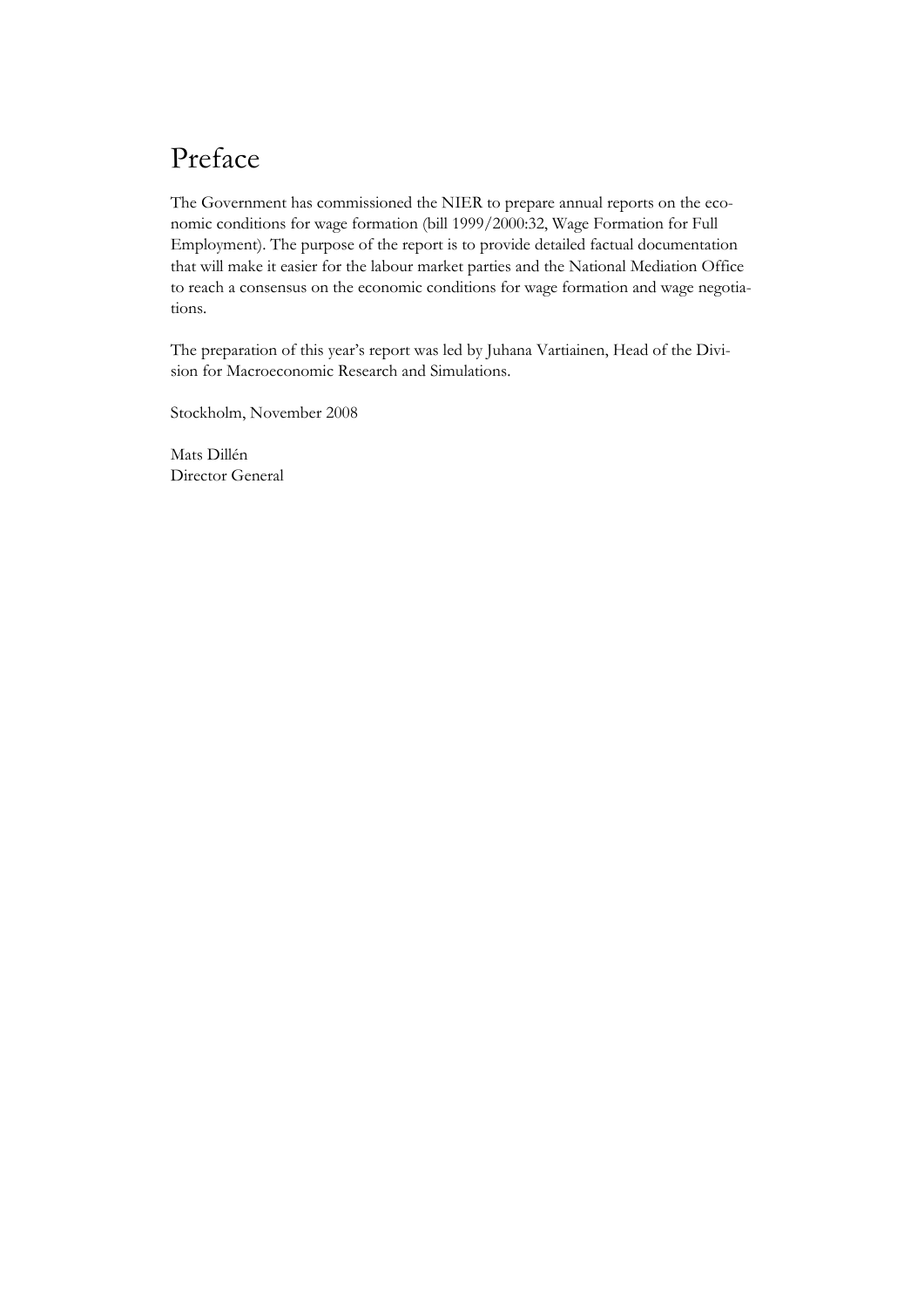# Preface

The Government has commissioned the NIER to prepare annual reports on the economic conditions for wage formation (bill 1999/2000:32, Wage Formation for Full Employment). The purpose of the report is to provide detailed factual documentation that will make it easier for the labour market parties and the National Mediation Office to reach a consensus on the economic conditions for wage formation and wage negotiations.

The preparation of this year's report was led by Juhana Vartiainen, Head of the Division for Macroeconomic Research and Simulations.

Stockholm, November 2008

Mats Dillén Director General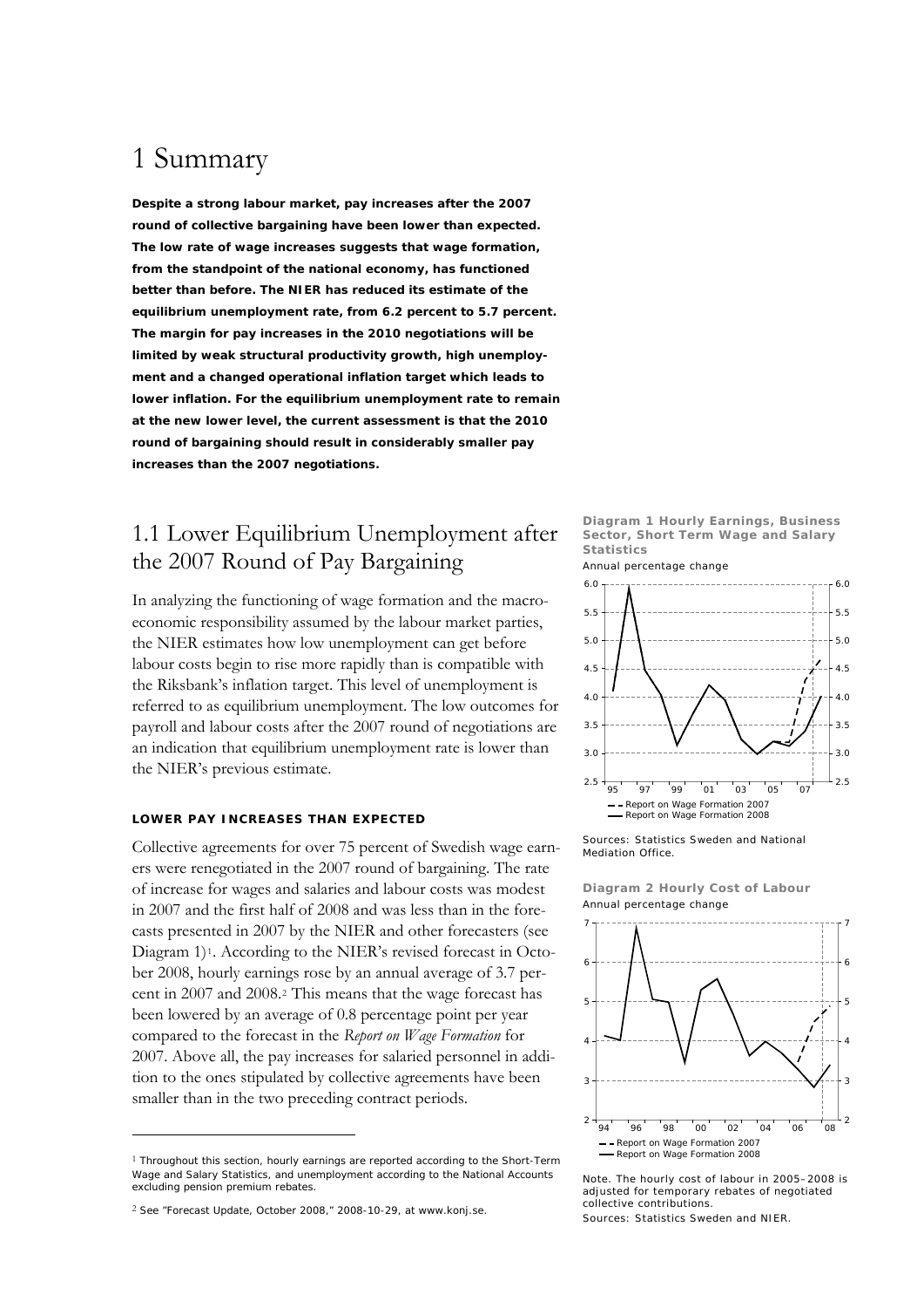# 1 Summary

**Despite a strong labour market, pay increases after the 2007 round of collective bargaining have been lower than expected. The low rate of wage increases suggests that wage formation, from the standpoint of the national economy, has functioned better than before. The NIER has reduced its estimate of the equilibrium unemployment rate, from 6.2 percent to 5.7 percent. The margin for pay increases in the 2010 negotiations will be limited by weak structural productivity growth, high unemployment and a changed operational inflation target which leads to lower inflation. For the equilibrium unemployment rate to remain at the new lower level, the current assessment is that the 2010 round of bargaining should result in considerably smaller pay increases than the 2007 negotiations.** 

## 1.1 Lower Equilibrium Unemployment after the 2007 Round of Pay Bargaining

In analyzing the functioning of wage formation and the macroeconomic responsibility assumed by the labour market parties, the NIER estimates how low unemployment can get before labour costs begin to rise more rapidly than is compatible with the Riksbank's inflation target. This level of unemployment is referred to as equilibrium unemployment. The low outcomes for payroll and labour costs after the 2007 round of negotiations are an indication that equilibrium unemployment rate is lower than the NIER's previous estimate.

#### **LOWER PAY INCREASES THAN EXPECTED**

Collective agreements for over 75 percent of Swedish wage earners were renegotiated in the 2007 round of bargaining. The rate of increase for wages and salaries and labour costs was modest in 2007 and the first half of 2008 and was less than in the forecasts presented in 2007 by the NIER and other forecasters (see Diagram [1](#page-4-0))<sup>1</sup>. According to the NIER's revised forecast in October 2008, hourly earnings rose by an annual average of 3.7 percent in 2007 and 2008.[2](#page-4-1) This means that the wage forecast has been lowered by an average of 0.8 percentage point per year compared to the forecast in the *Report on Wage Formation* for 2007. Above all, the pay increases for salaried personnel in addition to the ones stipulated by collective agreements have been smaller than in the two preceding contract periods.

<u>.</u>

**Diagram 1 Hourly Earnings, Business Sector, Short Term Wage and Salary Statistics**  Annual percentage change





**Diagram 2 Hourly Cost of Labour**  Annual percentage change



Note. The hourly cost of labour in 2005–2008 is adjusted for temporary rebates of negotiated collective contributions.

Sources: Statistics Sweden and NIER.

<span id="page-4-0"></span> $1$  Throughout this section, hourly earnings are reported according to the Short-Term Wage and Salary Statistics, and unemployment according to the National Accounts excluding pension premium rebates.

<span id="page-4-1"></span><sup>2</sup> See "Forecast Update, October 2008," 2008-10-29, at [www.konj.se.](http://www.konj.se/)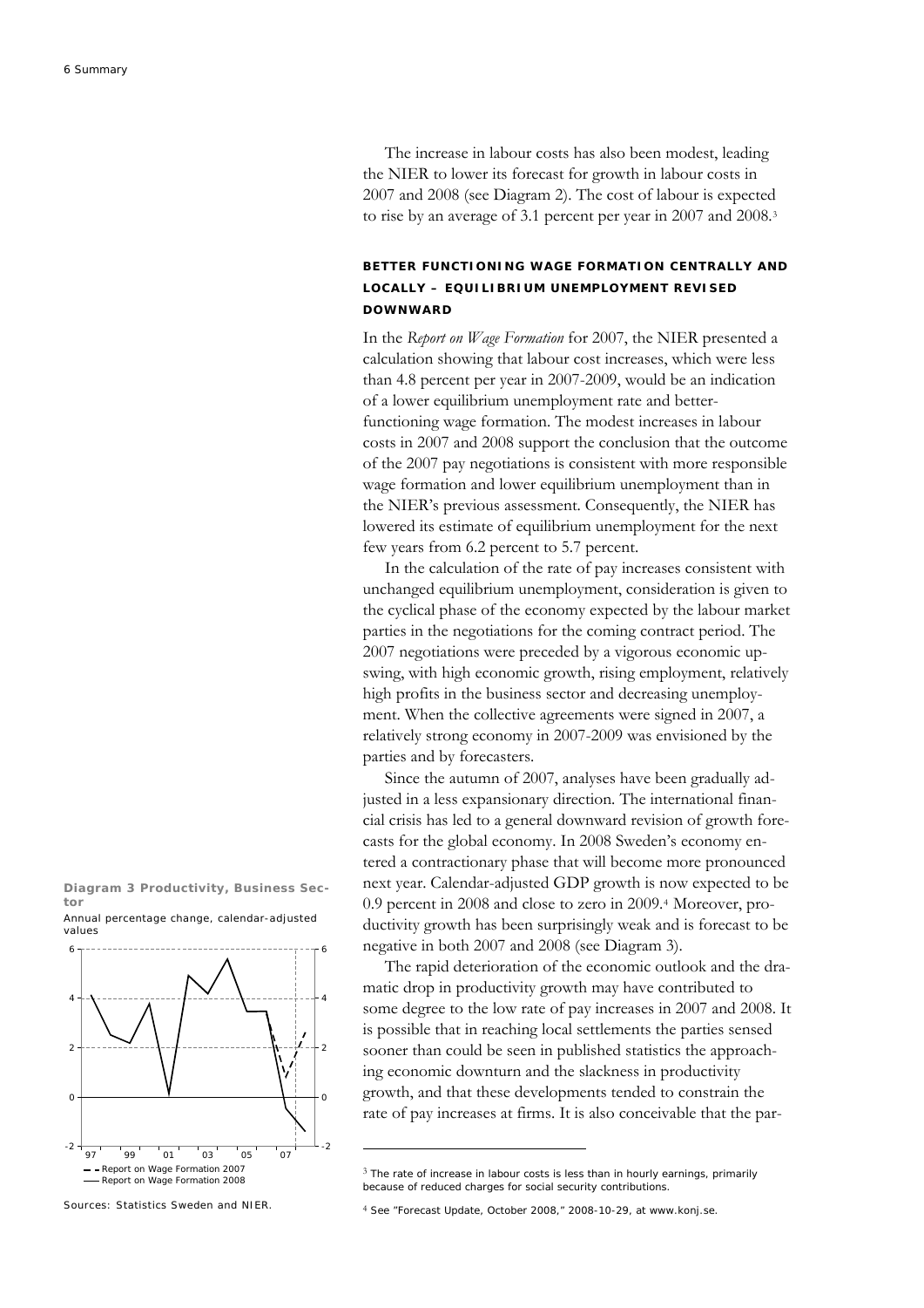The increase in labour costs has also been modest, leading the NIER to lower its forecast for growth in labour costs in 2007 and 2008 (see Diagram 2). The cost of labour is expected to rise by an average of 3.1 percent per year in 2007 and 2008.[3](#page-5-0)

### **BETTER FUNCTIONING WAGE FORMATION CENTRALLY AND LOCALLY – EQUILIBRIUM UNEMPLOYMENT REVISED DOWNWARD**

In the *Report on Wage Formation* for 2007, the NIER presented a calculation showing that labour cost increases, which were less than 4.8 percent per year in 2007-2009, would be an indication of a lower equilibrium unemployment rate and betterfunctioning wage formation. The modest increases in labour costs in 2007 and 2008 support the conclusion that the outcome of the 2007 pay negotiations is consistent with more responsible wage formation and lower equilibrium unemployment than in the NIER's previous assessment. Consequently, the NIER has lowered its estimate of equilibrium unemployment for the next few years from 6.2 percent to 5.7 percent.

In the calculation of the rate of pay increases consistent with unchanged equilibrium unemployment, consideration is given to the cyclical phase of the economy expected by the labour market parties in the negotiations for the coming contract period. The 2007 negotiations were preceded by a vigorous economic upswing, with high economic growth, rising employment, relatively high profits in the business sector and decreasing unemployment. When the collective agreements were signed in 2007, a relatively strong economy in 2007-2009 was envisioned by the parties and by forecasters.

Since the autumn of 2007, analyses have been gradually adjusted in a less expansionary direction. The international financial crisis has led to a general downward revision of growth forecasts for the global economy. In 2008 Sweden's economy entered a contractionary phase that will become more pronounced next year. Calendar-adjusted GDP growth is now expected to be 0.9 percent in 2008 and close to zero in 2009.[4](#page-5-1) Moreover, productivity growth has been surprisingly weak and is forecast to be negative in both 2007 and 2008 (see Diagram 3).

The rapid deterioration of the economic outlook and the dramatic drop in productivity growth may have contributed to some degree to the low rate of pay increases in 2007 and 2008. It is possible that in reaching local settlements the parties sensed sooner than could be seen in published statistics the approaching economic downturn and the slackness in productivity growth, and that these developments tended to constrain the rate of pay increases at firms. It is also conceivable that the par-

**Diagram 3 Productivity, Business Sector**  Annual percentage change, calendar-adjusted values



**.** 

<span id="page-5-1"></span><span id="page-5-0"></span>Sources: Statistics Sweden and NIER.

 $3$  The rate of increase in labour costs is less than in hourly earnings, primarily because of reduced charges for social security contributions.

<sup>4</sup> See "Forecast Update, October 2008," 2008-10-29, at [www.konj.se.](http://www.konj.se/)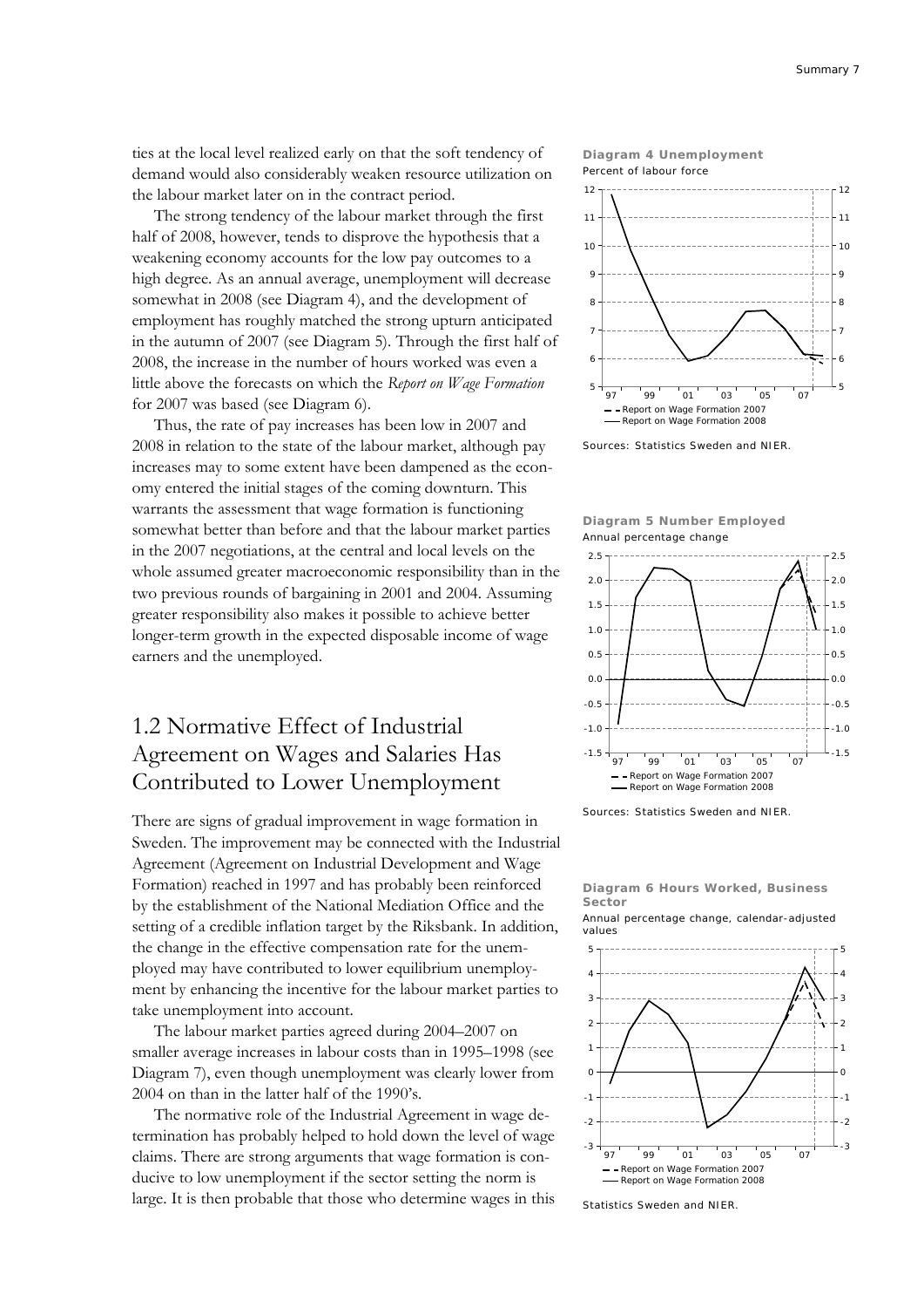ties at the local level realized early on that the soft tendency of demand would also considerably weaken resource utilization on the labour market later on in the contract period.

The strong tendency of the labour market through the first half of 2008, however, tends to disprove the hypothesis that a weakening economy accounts for the low pay outcomes to a high degree. As an annual average, unemployment will decrease somewhat in 2008 (see Diagram 4), and the development of employment has roughly matched the strong upturn anticipated in the autumn of 2007 (see Diagram 5). Through the first half of 2008, the increase in the number of hours worked was even a little above the forecasts on which the *Report on Wage Formation* for 2007 was based (see Diagram 6).

Thus, the rate of pay increases has been low in 2007 and 2008 in relation to the state of the labour market, although pay increases may to some extent have been dampened as the economy entered the initial stages of the coming downturn. This warrants the assessment that wage formation is functioning somewhat better than before and that the labour market parties in the 2007 negotiations, at the central and local levels on the whole assumed greater macroeconomic responsibility than in the two previous rounds of bargaining in 2001 and 2004. Assuming greater responsibility also makes it possible to achieve better longer-term growth in the expected disposable income of wage earners and the unemployed.

## 1.2 Normative Effect of Industrial Agreement on Wages and Salaries Has Contributed to Lower Unemployment

There are signs of gradual improvement in wage formation in Sweden. The improvement may be connected with the Industrial Agreement (Agreement on Industrial Development and Wage Formation) reached in 1997 and has probably been reinforced by the establishment of the National Mediation Office and the setting of a credible inflation target by the Riksbank. In addition, the change in the effective compensation rate for the unemployed may have contributed to lower equilibrium unemployment by enhancing the incentive for the labour market parties to take unemployment into account.

The labour market parties agreed during 2004–2007 on smaller average increases in labour costs than in 1995–1998 (see Diagram 7), even though unemployment was clearly lower from 2004 on than in the latter half of the 1990's.

The normative role of the Industrial Agreement in wage determination has probably helped to hold down the level of wage claims. There are strong arguments that wage formation is conducive to low unemployment if the sector setting the norm is large. It is then probable that those who determine wages in this





Sources: Statistics Sweden and NIER.





Sources: Statistics Sweden and NIER.

#### **Diagram 6 Hours Worked, Business Sector**

Annual percentage change, calendar-adjusted values



Statistics Sweden and NIER.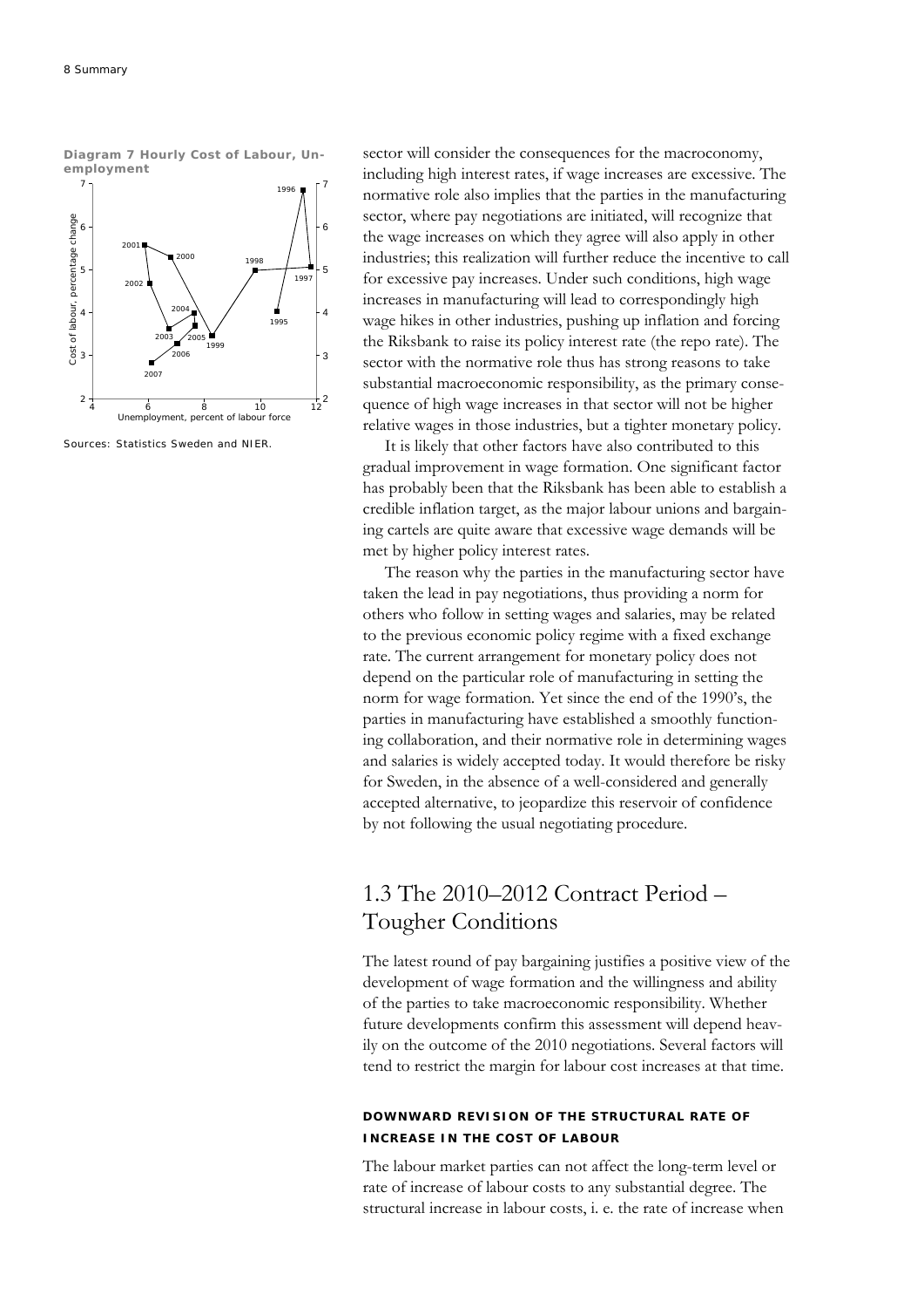**Diagram 7 Hourly Cost of Labour, Unemployment** 



Sources: Statistics Sweden and NIER.

sector will consider the consequences for the macroconomy, including high interest rates, if wage increases are excessive. The normative role also implies that the parties in the manufacturing sector, where pay negotiations are initiated, will recognize that the wage increases on which they agree will also apply in other industries; this realization will further reduce the incentive to call for excessive pay increases. Under such conditions, high wage increases in manufacturing will lead to correspondingly high wage hikes in other industries, pushing up inflation and forcing the Riksbank to raise its policy interest rate (the repo rate). The sector with the normative role thus has strong reasons to take substantial macroeconomic responsibility, as the primary consequence of high wage increases in that sector will not be higher relative wages in those industries, but a tighter monetary policy.

It is likely that other factors have also contributed to this gradual improvement in wage formation. One significant factor has probably been that the Riksbank has been able to establish a credible inflation target, as the major labour unions and bargaining cartels are quite aware that excessive wage demands will be met by higher policy interest rates.

The reason why the parties in the manufacturing sector have taken the lead in pay negotiations, thus providing a norm for others who follow in setting wages and salaries, may be related to the previous economic policy regime with a fixed exchange rate. The current arrangement for monetary policy does not depend on the particular role of manufacturing in setting the norm for wage formation. Yet since the end of the 1990's, the parties in manufacturing have established a smoothly functioning collaboration, and their normative role in determining wages and salaries is widely accepted today. It would therefore be risky for Sweden, in the absence of a well-considered and generally accepted alternative, to jeopardize this reservoir of confidence by not following the usual negotiating procedure.

### 1.3 The 2010–2012 Contract Period – Tougher Conditions

The latest round of pay bargaining justifies a positive view of the development of wage formation and the willingness and ability of the parties to take macroeconomic responsibility. Whether future developments confirm this assessment will depend heavily on the outcome of the 2010 negotiations. Several factors will tend to restrict the margin for labour cost increases at that time.

### **DOWNWARD REVISION OF THE STRUCTURAL RATE OF INCREASE IN THE COST OF LABOUR**

The labour market parties can not affect the long-term level or rate of increase of labour costs to any substantial degree. The structural increase in labour costs, i. e. the rate of increase when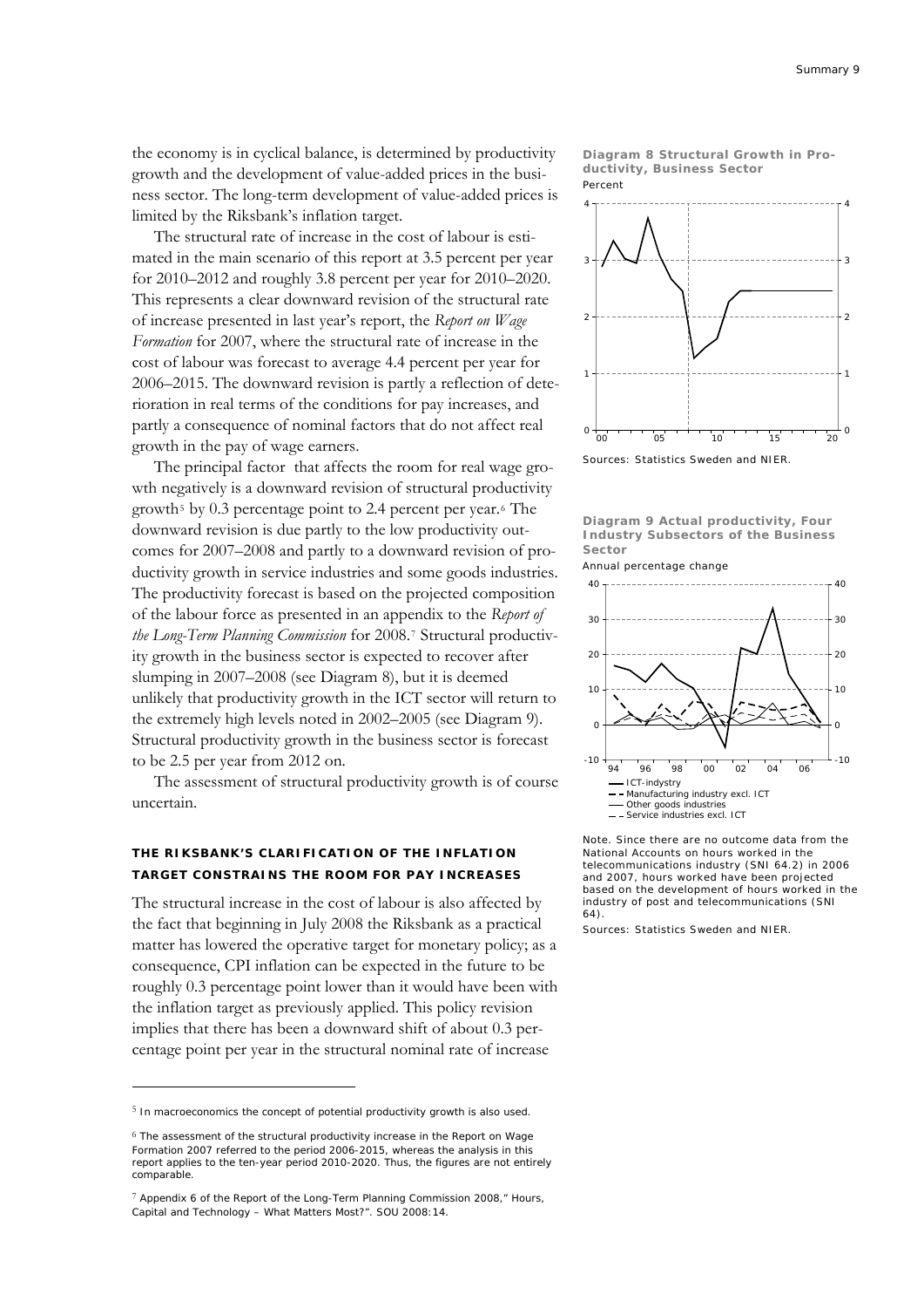the economy is in cyclical balance, is determined by productivity growth and the development of value-added prices in the business sector. The long-term development of value-added prices is limited by the Riksbank's inflation target.

The structural rate of increase in the cost of labour is estimated in the main scenario of this report at 3.5 percent per year for 2010–2012 and roughly 3.8 percent per year for 2010–2020. This represents a clear downward revision of the structural rate of increase presented in last year's report, the *Report on Wage Formation* for 2007, where the structural rate of increase in the cost of labour was forecast to average 4.4 percent per year for 2006–2015. The downward revision is partly a reflection of deterioration in real terms of the conditions for pay increases, and partly a consequence of nominal factors that do not affect real growth in the pay of wage earners.

The principal factor that affects the room for real wage growth negatively is a downward revision of structural productivity growth<sup>[5](#page-8-0)</sup> by 0.3 percentage point to 2.4 percent per year.<sup>[6](#page-8-1)</sup> The downward revision is due partly to the low productivity outcomes for 2007–2008 and partly to a downward revision of productivity growth in service industries and some goods industries. The productivity forecast is based on the projected composition of the labour force as presented in an appendix to the *Report of the Long-Term Planning Commission* for 2008.[7](#page-8-2) Structural productivity growth in the business sector is expected to recover after slumping in 2007–2008 (see Diagram 8), but it is deemed unlikely that productivity growth in the ICT sector will return to the extremely high levels noted in 2002–2005 (see Diagram 9). Structural productivity growth in the business sector is forecast to be 2.5 per year from 2012 on.

The assessment of structural productivity growth is of course uncertain.

### **THE RIKSBANK'S CLARIFICATION OF THE INFLATION TARGET CONSTRAINS THE ROOM FOR PAY INCREASES**

The structural increase in the cost of labour is also affected by the fact that beginning in July 2008 the Riksbank as a practical matter has lowered the operative target for monetary policy; as a consequence, CPI inflation can be expected in the future to be roughly 0.3 percentage point lower than it would have been with the inflation target as previously applied. This policy revision implies that there has been a downward shift of about 0.3 percentage point per year in the structural nominal rate of increase

<u>.</u>

**Diagram 8 Structural Growth in Productivity, Business Sector**  Percent



Sources: Statistics Sweden and NIER.

**Diagram 9 Actual productivity, Four Industry Subsectors of the Business Sector** 

#### Annual percentage change



Note. Since there are no outcome data from the National Accounts on hours worked in the telecommunications industry (SNI 64.2) in 2006 and 2007, hours worked have been projected based on the development of hours worked in the industry of post and telecommunications (SNI 64).

Sources: Statistics Sweden and NIER.

<span id="page-8-0"></span><sup>5</sup> In macroeconomics the concept of potential productivity growth is also used.

<span id="page-8-1"></span><sup>6</sup> The assessment of the structural productivity increase in the *Report on Wage Formation 2007* referred to the period 2006-2015, whereas the analysis in this report applies to the ten-year period 2010-2020. Thus, the figures are not entirely comparable.

<span id="page-8-2"></span><sup>7</sup> Appendix 6 of the *Report of the Long-Term Planning Commission 2008,*" Hours, Capital and Technology – What Matters Most?". SOU 2008:14.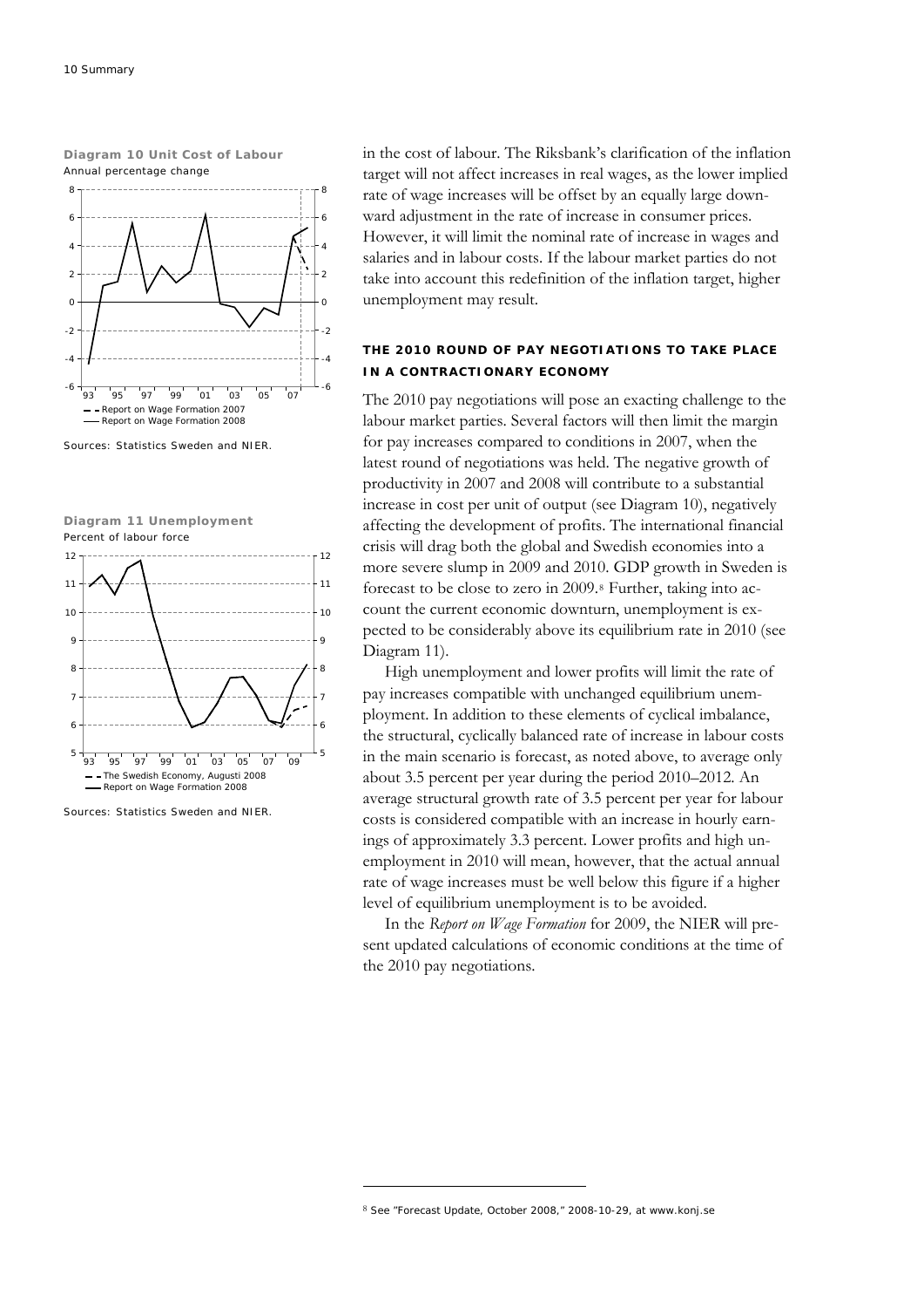**Diagram 10 Unit Cost of Labour**  Annual percentage change



Sources: Statistics Sweden and NIER.





Sources: Statistics Sweden and NIER.

in the cost of labour. The Riksbank's clarification of the inflation target will not affect increases in real wages, as the lower implied rate of wage increases will be offset by an equally large downward adjustment in the rate of increase in consumer prices. However, it will limit the nominal rate of increase in wages and salaries and in labour costs. If the labour market parties do not take into account this redefinition of the inflation target, higher unemployment may result.

### **THE 2010 ROUND OF PAY NEGOTIATIONS TO TAKE PLACE IN A CONTRACTIONARY ECONOMY**

The 2010 pay negotiations will pose an exacting challenge to the labour market parties. Several factors will then limit the margin for pay increases compared to conditions in 2007, when the latest round of negotiations was held. The negative growth of productivity in 2007 and 2008 will contribute to a substantial increase in cost per unit of output (see Diagram 10), negatively affecting the development of profits. The international financial crisis will drag both the global and Swedish economies into a more severe slump in 2009 and 2010. GDP growth in Sweden is forecast to be close to zero in 2009.[8](#page-9-0) Further, taking into account the current economic downturn, unemployment is expected to be considerably above its equilibrium rate in 2010 (see Diagram 11).

High unemployment and lower profits will limit the rate of pay increases compatible with unchanged equilibrium unemployment. In addition to these elements of cyclical imbalance, the structural, cyclically balanced rate of increase in labour costs in the main scenario is forecast, as noted above, to average only about 3.5 percent per year during the period 2010–2012. An average structural growth rate of 3.5 percent per year for labour costs is considered compatible with an increase in hourly earnings of approximately 3.3 percent. Lower profits and high unemployment in 2010 will mean, however, that the actual annual rate of wage increases must be well below this figure if a higher level of equilibrium unemployment is to be avoided.

In the *Report on Wage Formation* for 2009, the NIER will present updated calculations of economic conditions at the time of the 2010 pay negotiations.

**.** 

<span id="page-9-0"></span><sup>8</sup> See "Forecast Update, October 2008," 2008-10-29, at www.konj.se